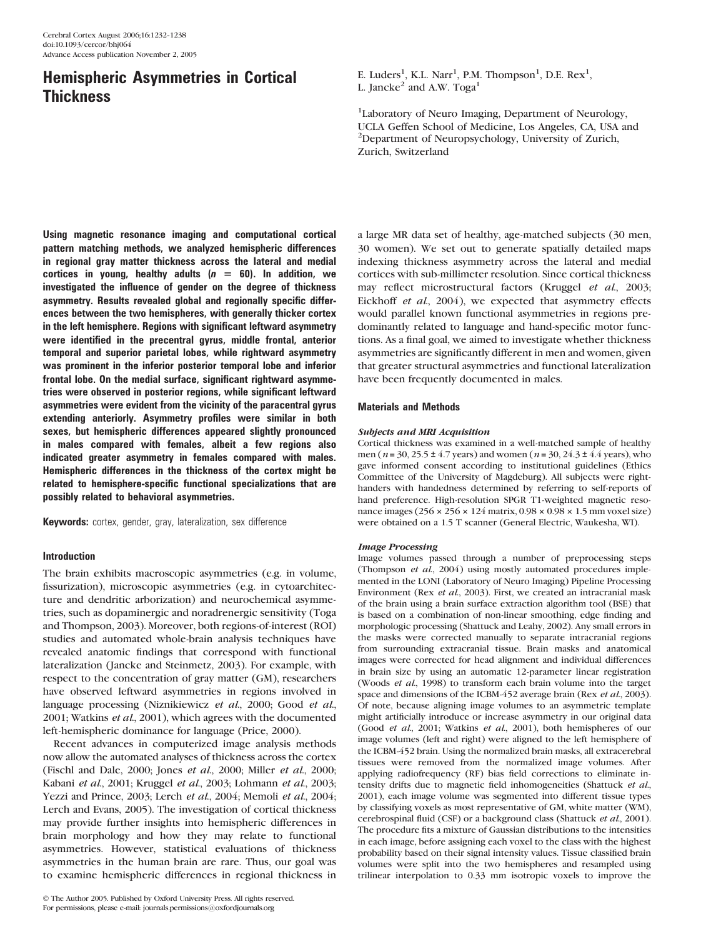# Hemispheric Asymmetries in Cortical **Thickness**

Using magnetic resonance imaging and computational cortical pattern matching methods, we analyzed hemispheric differences in regional gray matter thickness across the lateral and medial cortices in young, healthy adults  $(n = 60)$ . In addition, we investigated the influence of gender on the degree of thickness asymmetry. Results revealed global and regionally specific differences between the two hemispheres, with generally thicker cortex in the left hemisphere. Regions with significant leftward asymmetry were identified in the precentral gyrus, middle frontal, anterior temporal and superior parietal lobes, while rightward asymmetry was prominent in the inferior posterior temporal lobe and inferior frontal lobe. On the medial surface, significant rightward asymmetries were observed in posterior regions, while significant leftward asymmetries were evident from the vicinity of the paracentral gyrus extending anteriorly. Asymmetry profiles were similar in both sexes, but hemispheric differences appeared slightly pronounced in males compared with females, albeit a few regions also indicated greater asymmetry in females compared with males. Hemispheric differences in the thickness of the cortex might be related to hemisphere-specific functional specializations that are possibly related to behavioral asymmetries.

Keywords: cortex, gender, gray, lateralization, sex difference

## Introduction

The brain exhibits macroscopic asymmetries (e.g. in volume, fissurization), microscopic asymmetries (e.g. in cytoarchitecture and dendritic arborization) and neurochemical asymmetries, such as dopaminergic and noradrenergic sensitivity (Toga and Thompson, 2003). Moreover, both regions-of-interest (ROI) studies and automated whole-brain analysis techniques have revealed anatomic findings that correspond with functional lateralization (Jancke and Steinmetz, 2003). For example, with respect to the concentration of gray matter (GM), researchers have observed leftward asymmetries in regions involved in language processing (Niznikiewicz et al., 2000; Good et al., 2001; Watkins et al., 2001), which agrees with the documented left-hemispheric dominance for language (Price, 2000).

Recent advances in computerized image analysis methods now allow the automated analyses of thickness across the cortex (Fischl and Dale, 2000; Jones et al., 2000; Miller et al., 2000; Kabani et al., 2001; Kruggel et al., 2003; Lohmann et al., 2003; Yezzi and Prince, 2003; Lerch et al., 2004; Memoli et al., 2004; Lerch and Evans, 2005). The investigation of cortical thickness may provide further insights into hemispheric differences in brain morphology and how they may relate to functional asymmetries. However, statistical evaluations of thickness asymmetries in the human brain are rare. Thus, our goal was to examine hemispheric differences in regional thickness in

E. Luders<sup>1</sup>, K.L. Narr<sup>1</sup>, P.M. Thompson<sup>1</sup>, D.E. Rex<sup>1</sup>, L. Jancke<sup>2</sup> and A.W. Toga<sup>1</sup>

<sup>1</sup>Laboratory of Neuro Imaging, Department of Neurology, UCLA Geffen School of Medicine, Los Angeles, CA, USA and 2 Department of Neuropsychology, University of Zurich, Zurich, Switzerland

a large MR data set of healthy, age-matched subjects (30 men, 30 women). We set out to generate spatially detailed maps indexing thickness asymmetry across the lateral and medial cortices with sub-millimeter resolution. Since cortical thickness may reflect microstructural factors (Kruggel et al., 2003; Eickhoff et al., 2004), we expected that asymmetry effects would parallel known functional asymmetries in regions predominantly related to language and hand-specific motor functions. As a final goal, we aimed to investigate whether thickness asymmetries are significantly different in men and women, given that greater structural asymmetries and functional lateralization have been frequently documented in males.

## Materials and Methods

#### Subjects and MRI Acquisition

Cortical thickness was examined in a well-matched sample of healthy men ( $n = 30, 25.5 \pm 4.7$  years) and women ( $n = 30, 24.3 \pm 4.4$  years), who gave informed consent according to institutional guidelines (Ethics Committee of the University of Magdeburg). All subjects were righthanders with handedness determined by referring to self-reports of hand preference. High-resolution SPGR T1-weighted magnetic resonance images ( $256 \times 256 \times 124$  matrix,  $0.98 \times 0.98 \times 1.5$  mm voxel size) were obtained on a 1.5 T scanner (General Electric, Waukesha, WI).

#### Image Processing

Image volumes passed through a number of preprocessing steps (Thompson et al., 2004) using mostly automated procedures implemented in the LONI (Laboratory of Neuro Imaging) Pipeline Processing Environment (Rex et al., 2003). First, we created an intracranial mask of the brain using a brain surface extraction algorithm tool (BSE) that is based on a combination of non-linear smoothing, edge finding and morphologic processing (Shattuck and Leahy, 2002). Any small errors in the masks were corrected manually to separate intracranial regions from surrounding extracranial tissue. Brain masks and anatomical images were corrected for head alignment and individual differences in brain size by using an automatic 12-parameter linear registration (Woods et al., 1998) to transform each brain volume into the target space and dimensions of the ICBM-452 average brain (Rex et al., 2003). Of note, because aligning image volumes to an asymmetric template might artificially introduce or increase asymmetry in our original data (Good et al., 2001; Watkins et al., 2001), both hemispheres of our image volumes (left and right) were aligned to the left hemisphere of the ICBM-452 brain. Using the normalized brain masks, all extracerebral tissues were removed from the normalized image volumes. After applying radiofrequency (RF) bias field corrections to eliminate intensity drifts due to magnetic field inhomogeneities (Shattuck et al., 2001), each image volume was segmented into different tissue types by classifying voxels as most representative of GM, white matter (WM), cerebrospinal fluid (CSF) or a background class (Shattuck et al., 2001). The procedure fits a mixture of Gaussian distributions to the intensities in each image, before assigning each voxel to the class with the highest probability based on their signal intensity values. Tissue classified brain volumes were split into the two hemispheres and resampled using trilinear interpolation to 0.33 mm isotropic voxels to improve the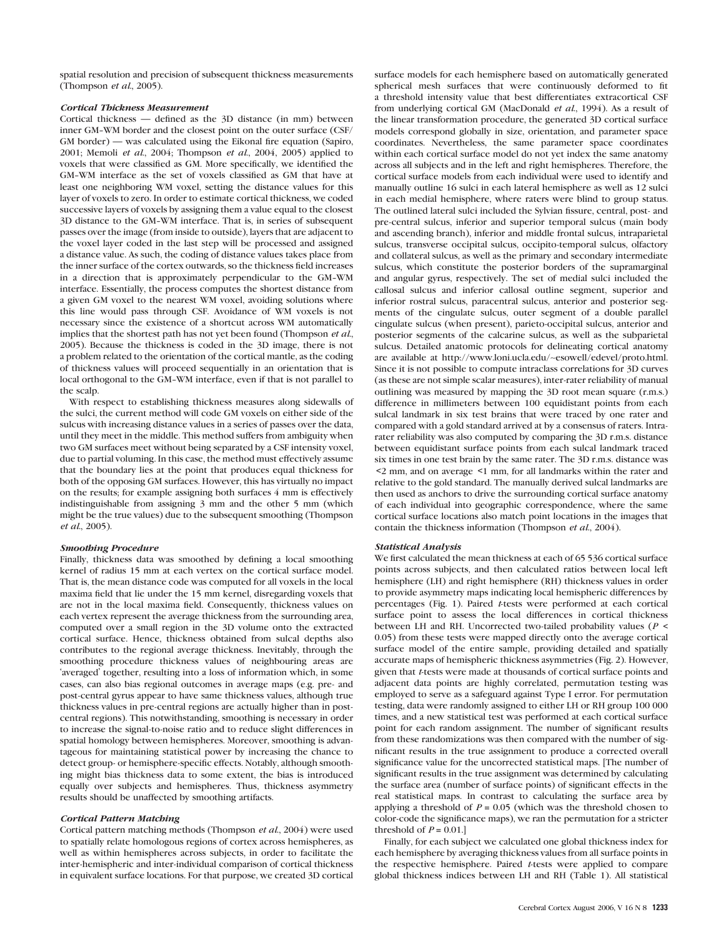spatial resolution and precision of subsequent thickness measurements (Thompson  $et$  al., 2005).

### Cortical Thickness Measurement

Cortical thickness — defined as the 3D distance (in mm) between inner GM-WM border and the closest point on the outer surface (CSF/ GM border) — was calculated using the Eikonal fire equation (Sapiro, 2001; Memoli et al., 2004; Thompson et al., 2004, 2005) applied to voxels that were classified as GM. More specifically, we identified the GM--WM interface as the set of voxels classified as GM that have at least one neighboring WM voxel, setting the distance values for this layer of voxels to zero. In order to estimate cortical thickness, we coded successive layers of voxels by assigning them a value equal to the closest 3D distance to the GM-WM interface. That is, in series of subsequent passes over the image (from inside to outside), layers that are adjacent to the voxel layer coded in the last step will be processed and assigned a distance value. As such, the coding of distance values takes place from the inner surface of the cortex outwards, so the thickness field increases in a direction that is approximately perpendicular to the GM-WM interface. Essentially, the process computes the shortest distance from a given GM voxel to the nearest WM voxel, avoiding solutions where this line would pass through CSF. Avoidance of WM voxels is not necessary since the existence of a shortcut across WM automatically implies that the shortest path has not yet been found (Thompson et al., 2005). Because the thickness is coded in the 3D image, there is not a problem related to the orientation of the cortical mantle, as the coding of thickness values will proceed sequentially in an orientation that is local orthogonal to the GM-WM interface, even if that is not parallel to the scalp.

With respect to establishing thickness measures along sidewalls of the sulci, the current method will code GM voxels on either side of the sulcus with increasing distance values in a series of passes over the data, until they meet in the middle. This method suffers from ambiguity when two GM surfaces meet without being separated by a CSF intensity voxel, due to partial voluming. In this case, the method must effectively assume that the boundary lies at the point that produces equal thickness for both of the opposing GM surfaces. However, this has virtually no impact on the results; for example assigning both surfaces 4 mm is effectively indistinguishable from assigning 3 mm and the other 5 mm (which might be the true values) due to the subsequent smoothing (Thompson et al., 2005).

#### Smoothing Procedure

Finally, thickness data was smoothed by defining a local smoothing kernel of radius 15 mm at each vertex on the cortical surface model. That is, the mean distance code was computed for all voxels in the local maxima field that lie under the 15 mm kernel, disregarding voxels that are not in the local maxima field. Consequently, thickness values on each vertex represent the average thickness from the surrounding area, computed over a small region in the 3D volume onto the extracted cortical surface. Hence, thickness obtained from sulcal depths also contributes to the regional average thickness. Inevitably, through the smoothing procedure thickness values of neighbouring areas are 'averaged' together, resulting into a loss of information which, in some cases, can also bias regional outcomes in average maps (e.g. pre- and post-central gyrus appear to have same thickness values, although true thickness values in pre-central regions are actually higher than in postcentral regions). This notwithstanding, smoothing is necessary in order to increase the signal-to-noise ratio and to reduce slight differences in spatial homology between hemispheres. Moreover, smoothing is advantageous for maintaining statistical power by increasing the chance to detect group- or hemisphere-specific effects. Notably, although smoothing might bias thickness data to some extent, the bias is introduced equally over subjects and hemispheres. Thus, thickness asymmetry results should be unaffected by smoothing artifacts.

#### Cortical Pattern Matching

Cortical pattern matching methods (Thompson et al., 2004) were used to spatially relate homologous regions of cortex across hemispheres, as well as within hemispheres across subjects, in order to facilitate the inter-hemispheric and inter-individual comparison of cortical thickness in equivalent surface locations. For that purpose, we created 3D cortical

surface models for each hemisphere based on automatically generated spherical mesh surfaces that were continuously deformed to fit a threshold intensity value that best differentiates extracortical CSF from underlying cortical GM (MacDonald et al., 1994). As a result of the linear transformation procedure, the generated 3D cortical surface models correspond globally in size, orientation, and parameter space coordinates. Nevertheless, the same parameter space coordinates within each cortical surface model do not yet index the same anatomy across all subjects and in the left and right hemispheres. Therefore, the cortical surface models from each individual were used to identify and manually outline 16 sulci in each lateral hemisphere as well as 12 sulci in each medial hemisphere, where raters were blind to group status. The outlined lateral sulci included the Sylvian fissure, central, post- and pre-central sulcus, inferior and superior temporal sulcus (main body and ascending branch), inferior and middle frontal sulcus, intraparietal sulcus, transverse occipital sulcus, occipito-temporal sulcus, olfactory and collateral sulcus, as well as the primary and secondary intermediate sulcus, which constitute the posterior borders of the supramarginal and angular gyrus, respectively. The set of medial sulci included the callosal sulcus and inferior callosal outline segment, superior and inferior rostral sulcus, paracentral sulcus, anterior and posterior segments of the cingulate sulcus, outer segment of a double parallel cingulate sulcus (when present), parieto-occipital sulcus, anterior and posterior segments of the calcarine sulcus, as well as the subparietal sulcus. Detailed anatomic protocols for delineating cortical anatomy are available at http://www.loni.ucla.edu/~[esowell/edevel/proto.html.](http://www.loni.ucla.edu/~esowell/edevel/proto.html) Since it is not possible to compute intraclass correlations for 3D curves (as these are not simple scalar measures), inter-rater reliability of manual outlining was measured by mapping the 3D root mean square (r.m.s.) difference in millimeters between 100 equidistant points from each sulcal landmark in six test brains that were traced by one rater and compared with a gold standard arrived at by a consensus of raters. Intrarater reliability was also computed by comparing the 3D r.m.s. distance between equidistant surface points from each sulcal landmark traced six times in one test brain by the same rater. The 3D r.m.s. distance was <2 mm, and on average <1 mm, for all landmarks within the rater and relative to the gold standard. The manually derived sulcal landmarks are then used as anchors to drive the surrounding cortical surface anatomy of each individual into geographic correspondence, where the same cortical surface locations also match point locations in the images that contain the thickness information (Thompson et al., 2004).

#### Statistical Analysis

We first calculated the mean thickness at each of 65 536 cortical surface points across subjects, and then calculated ratios between local left hemisphere (LH) and right hemisphere (RH) thickness values in order to provide asymmetry maps indicating local hemispheric differences by percentages (Fig. 1). Paired t-tests were performed at each cortical surface point to assess the local differences in cortical thickness between LH and RH. Uncorrected two-tailed probability values ( $P \leq$ 0.05) from these tests were mapped directly onto the average cortical surface model of the entire sample, providing detailed and spatially accurate maps of hemispheric thickness asymmetries (Fig. 2). However, given that *t*-tests were made at thousands of cortical surface points and adjacent data points are highly correlated, permutation testing was employed to serve as a safeguard against Type I error. For permutation testing, data were randomly assigned to either LH or RH group 100 000 times, and a new statistical test was performed at each cortical surface point for each random assignment. The number of significant results from these randomizations was then compared with the number of significant results in the true assignment to produce a corrected overall significance value for the uncorrected statistical maps. [The number of significant results in the true assignment was determined by calculating the surface area (number of surface points) of significant effects in the real statistical maps. In contrast to calculating the surface area by applying a threshold of  $P = 0.05$  (which was the threshold chosen to color-code the significance maps), we ran the permutation for a stricter threshold of  $P = 0.01$ .

Finally, for each subject we calculated one global thickness index for each hemisphere by averaging thickness values from all surface points in the respective hemisphere. Paired t-tests were applied to compare global thickness indices between LH and RH (Table 1). All statistical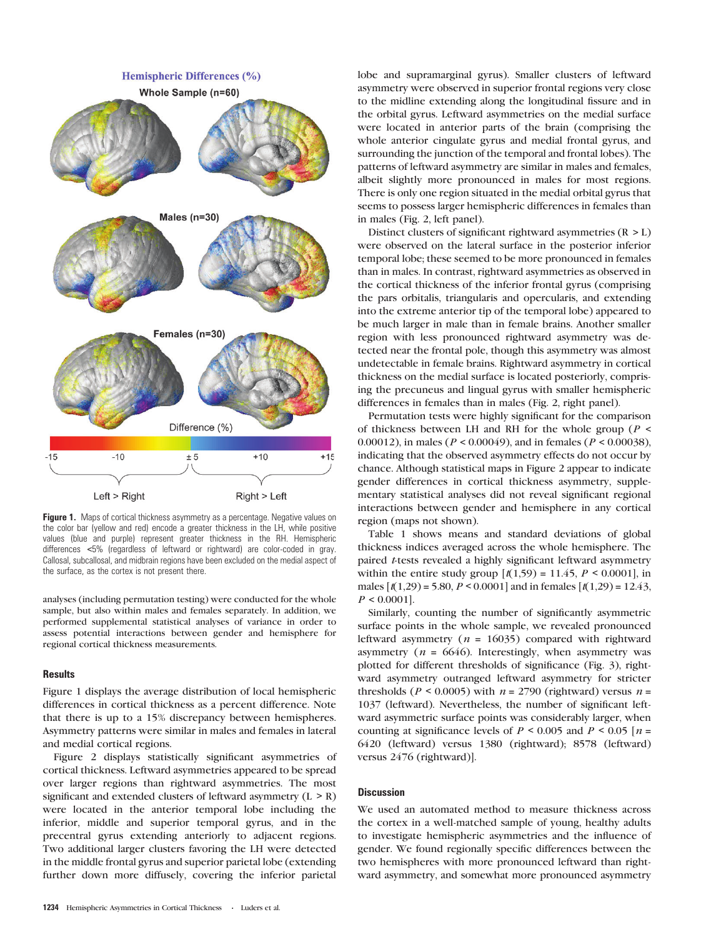

Figure 1. Maps of cortical thickness asymmetry as a percentage. Negative values on the color bar (yellow and red) encode a greater thickness in the LH, while positive values (blue and purple) represent greater thickness in the RH. Hemispheric differences <5% (regardless of leftward or rightward) are color-coded in gray. Callosal, subcallosal, and midbrain regions have been excluded on the medial aspect of the surface, as the cortex is not present there.

analyses (including permutation testing) were conducted for the whole sample, but also within males and females separately. In addition, we performed supplemental statistical analyses of variance in order to assess potential interactions between gender and hemisphere for regional cortical thickness measurements.

#### **Results**

Figure 1 displays the average distribution of local hemispheric differences in cortical thickness as a percent difference. Note that there is up to a 15% discrepancy between hemispheres. Asymmetry patterns were similar in males and females in lateral and medial cortical regions.

Figure 2 displays statistically significant asymmetries of cortical thickness. Leftward asymmetries appeared to be spread over larger regions than rightward asymmetries. The most significant and extended clusters of leftward asymmetry  $(L > R)$ were located in the anterior temporal lobe including the inferior, middle and superior temporal gyrus, and in the precentral gyrus extending anteriorly to adjacent regions. Two additional larger clusters favoring the LH were detected in the middle frontal gyrus and superior parietal lobe (extending further down more diffusely, covering the inferior parietal lobe and supramarginal gyrus). Smaller clusters of leftward asymmetry were observed in superior frontal regions very close to the midline extending along the longitudinal fissure and in the orbital gyrus. Leftward asymmetries on the medial surface were located in anterior parts of the brain (comprising the whole anterior cingulate gyrus and medial frontal gyrus, and surrounding the junction of the temporal and frontal lobes). The patterns of leftward asymmetry are similar in males and females, albeit slightly more pronounced in males for most regions. There is only one region situated in the medial orbital gyrus that seems to possess larger hemispheric differences in females than in males (Fig. 2, left panel).

Distinct clusters of significant rightward asymmetries (R > L) were observed on the lateral surface in the posterior inferior temporal lobe; these seemed to be more pronounced in females than in males. In contrast, rightward asymmetries as observed in the cortical thickness of the inferior frontal gyrus (comprising the pars orbitalis, triangularis and opercularis, and extending into the extreme anterior tip of the temporal lobe) appeared to be much larger in male than in female brains. Another smaller region with less pronounced rightward asymmetry was detected near the frontal pole, though this asymmetry was almost undetectable in female brains. Rightward asymmetry in cortical thickness on the medial surface is located posteriorly, comprising the precuneus and lingual gyrus with smaller hemispheric differences in females than in males (Fig. 2, right panel).

Permutation tests were highly significant for the comparison of thickness between LH and RH for the whole group ( $P \leq$ 0.00012), in males ( $P < 0.00049$ ), and in females ( $P < 0.00038$ ), indicating that the observed asymmetry effects do not occur by chance. Although statistical maps in Figure 2 appear to indicate gender differences in cortical thickness asymmetry, supplementary statistical analyses did not reveal significant regional interactions between gender and hemisphere in any cortical region (maps not shown).

Table 1 shows means and standard deviations of global thickness indices averaged across the whole hemisphere. The paired *t*-tests revealed a highly significant leftward asymmetry within the entire study group  $[1,59) = 11.45$ ,  $P \le 0.0001$ , in males  $\lceil t(1,29) \rceil = 5.80$ ,  $P < 0.0001$  and in females  $\lceil t(1,29) \rceil = 12.43$ ,  $P < 0.0001$ .

Similarly, counting the number of significantly asymmetric surface points in the whole sample, we revealed pronounced leftward asymmetry ( $n = 16035$ ) compared with rightward asymmetry ( $n = 6646$ ). Interestingly, when asymmetry was plotted for different thresholds of significance (Fig. 3), rightward asymmetry outranged leftward asymmetry for stricter thresholds ( $P \le 0.0005$ ) with  $n = 2790$  (rightward) versus  $n =$ 1037 (leftward). Nevertheless, the number of significant leftward asymmetric surface points was considerably larger, when counting at significance levels of  $P \le 0.005$  and  $P \le 0.05$  [ $n =$ 6420 (leftward) versus 1380 (rightward); 8578 (leftward) versus 2476 (rightward)].

# **Discussion**

We used an automated method to measure thickness across the cortex in a well-matched sample of young, healthy adults to investigate hemispheric asymmetries and the influence of gender. We found regionally specific differences between the two hemispheres with more pronounced leftward than rightward asymmetry, and somewhat more pronounced asymmetry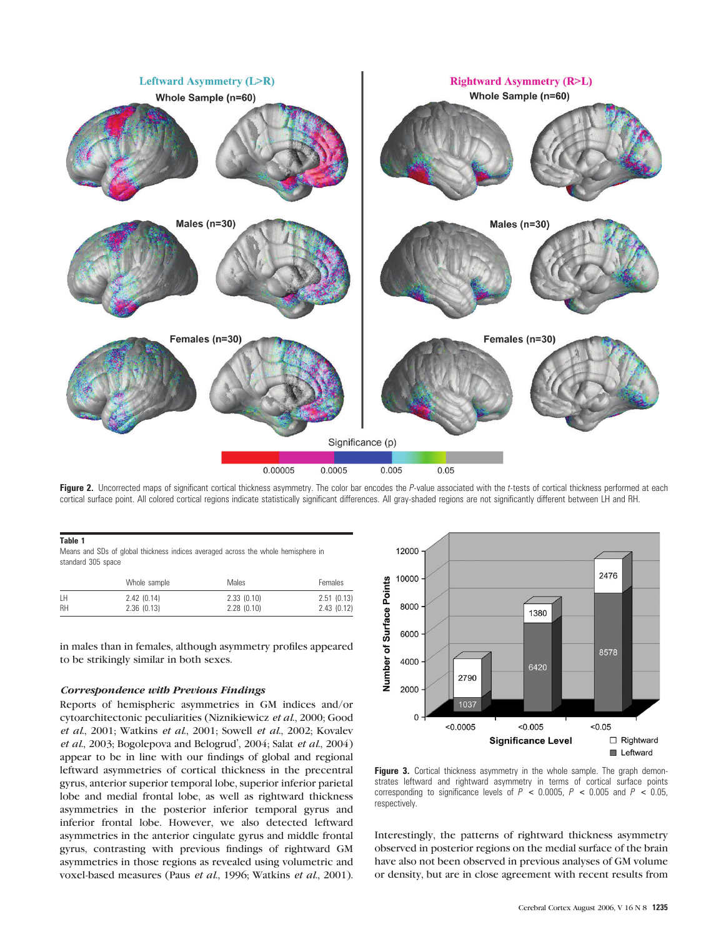

Figure 2. Uncorrected maps of significant cortical thickness asymmetry. The color bar encodes the P-value associated with the t-tests of cortical thickness performed at each cortical surface point. All colored cortical regions indicate statistically significant differences. All gray-shaded regions are not significantly different between LH and RH.

| $\sim$ | ×<br>٠ |  |
|--------|--------|--|

Means and SDs of global thickness indices averaged across the whole hemisphere in standard 305 space

|    | Whole sample | Males      | Females    |
|----|--------------|------------|------------|
| LH | 2.42(0.14)   | 2.33(0.10) | 2.51(0.13) |
| RH | 2.36(0.13)   | 2.28(0.10) | 2.43(0.12) |

in males than in females, although asymmetry profiles appeared to be strikingly similar in both sexes.

# Correspondence with Previous Findings

Reports of hemispheric asymmetries in GM indices and/or cytoarchitectonic peculiarities (Niznikiewicz et al., 2000; Good et al., 2001; Watkins et al., 2001; Sowell et al., 2002; Kovalev et al., 2003; Bogolepova and Belogrud', 2004; Salat et al., 2004) appear to be in line with our findings of global and regional leftward asymmetries of cortical thickness in the precentral gyrus, anterior superior temporal lobe, superior inferior parietal lobe and medial frontal lobe, as well as rightward thickness asymmetries in the posterior inferior temporal gyrus and inferior frontal lobe. However, we also detected leftward asymmetries in the anterior cingulate gyrus and middle frontal gyrus, contrasting with previous findings of rightward GM asymmetries in those regions as revealed using volumetric and voxel-based measures (Paus et al., 1996; Watkins et al., 2001).



Figure 3. Cortical thickness asymmetry in the whole sample. The graph demonstrates leftward and rightward asymmetry in terms of cortical surface points corresponding to significance levels of  $P < 0.0005$ ,  $P < 0.005$  and  $P < 0.05$ , respectively.

Interestingly, the patterns of rightward thickness asymmetry observed in posterior regions on the medial surface of the brain have also not been observed in previous analyses of GM volume or density, but are in close agreement with recent results from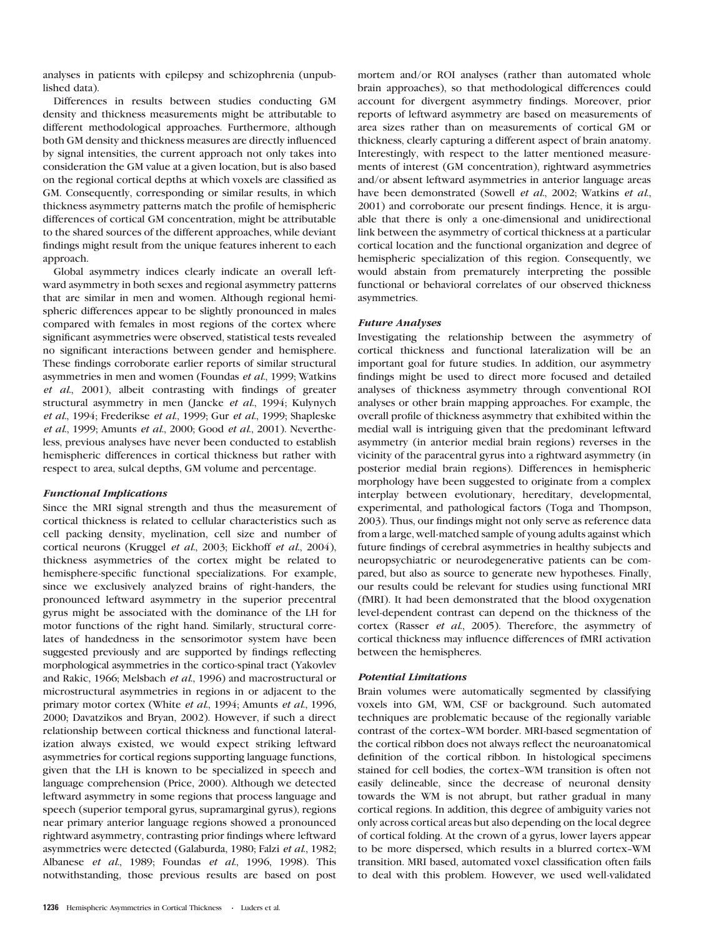analyses in patients with epilepsy and schizophrenia (unpublished data).

Differences in results between studies conducting GM density and thickness measurements might be attributable to different methodological approaches. Furthermore, although both GM density and thickness measures are directly influenced by signal intensities, the current approach not only takes into consideration the GM value at a given location, but is also based on the regional cortical depths at which voxels are classified as GM. Consequently, corresponding or similar results, in which thickness asymmetry patterns match the profile of hemispheric differences of cortical GM concentration, might be attributable to the shared sources of the different approaches, while deviant findings might result from the unique features inherent to each approach.

Global asymmetry indices clearly indicate an overall leftward asymmetry in both sexes and regional asymmetry patterns that are similar in men and women. Although regional hemispheric differences appear to be slightly pronounced in males compared with females in most regions of the cortex where significant asymmetries were observed, statistical tests revealed no significant interactions between gender and hemisphere. These findings corroborate earlier reports of similar structural asymmetries in men and women (Foundas et al., 1999; Watkins et al., 2001), albeit contrasting with findings of greater structural asymmetry in men (Jancke et al., 1994; Kulynych et al., 1994; Frederikse et al., 1999; Gur et al., 1999; Shapleske et al., 1999; Amunts et al., 2000; Good et al., 2001). Nevertheless, previous analyses have never been conducted to establish hemispheric differences in cortical thickness but rather with respect to area, sulcal depths, GM volume and percentage.

# Functional Implications

Since the MRI signal strength and thus the measurement of cortical thickness is related to cellular characteristics such as cell packing density, myelination, cell size and number of cortical neurons (Kruggel et al., 2003; Eickhoff et al., 2004), thickness asymmetries of the cortex might be related to hemisphere-specific functional specializations. For example, since we exclusively analyzed brains of right-handers, the pronounced leftward asymmetry in the superior precentral gyrus might be associated with the dominance of the LH for motor functions of the right hand. Similarly, structural correlates of handedness in the sensorimotor system have been suggested previously and are supported by findings reflecting morphological asymmetries in the cortico-spinal tract (Yakovlev and Rakic, 1966; Melsbach et al., 1996) and macrostructural or microstructural asymmetries in regions in or adjacent to the primary motor cortex (White et al., 1994; Amunts et al., 1996, 2000; Davatzikos and Bryan, 2002). However, if such a direct relationship between cortical thickness and functional lateralization always existed, we would expect striking leftward asymmetries for cortical regions supporting language functions, given that the LH is known to be specialized in speech and language comprehension (Price, 2000). Although we detected leftward asymmetry in some regions that process language and speech (superior temporal gyrus, supramarginal gyrus), regions near primary anterior language regions showed a pronounced rightward asymmetry, contrasting prior findings where leftward asymmetries were detected (Galaburda, 1980; Falzi et al., 1982; Albanese et al., 1989; Foundas et al., 1996, 1998). This notwithstanding, those previous results are based on post mortem and/or ROI analyses (rather than automated whole brain approaches), so that methodological differences could account for divergent asymmetry findings. Moreover, prior reports of leftward asymmetry are based on measurements of area sizes rather than on measurements of cortical GM or thickness, clearly capturing a different aspect of brain anatomy. Interestingly, with respect to the latter mentioned measurements of interest (GM concentration), rightward asymmetries and/or absent leftward asymmetries in anterior language areas have been demonstrated (Sowell et al., 2002; Watkins et al., 2001) and corroborate our present findings. Hence, it is arguable that there is only a one-dimensional and unidirectional link between the asymmetry of cortical thickness at a particular cortical location and the functional organization and degree of hemispheric specialization of this region. Consequently, we would abstain from prematurely interpreting the possible functional or behavioral correlates of our observed thickness asymmetries.

# Future Analyses

Investigating the relationship between the asymmetry of cortical thickness and functional lateralization will be an important goal for future studies. In addition, our asymmetry findings might be used to direct more focused and detailed analyses of thickness asymmetry through conventional ROI analyses or other brain mapping approaches. For example, the overall profile of thickness asymmetry that exhibited within the medial wall is intriguing given that the predominant leftward asymmetry (in anterior medial brain regions) reverses in the vicinity of the paracentral gyrus into a rightward asymmetry (in posterior medial brain regions). Differences in hemispheric morphology have been suggested to originate from a complex interplay between evolutionary, hereditary, developmental, experimental, and pathological factors (Toga and Thompson, 2003). Thus, our findings might not only serve as reference data from a large, well-matched sample of young adults against which future findings of cerebral asymmetries in healthy subjects and neuropsychiatric or neurodegenerative patients can be compared, but also as source to generate new hypotheses. Finally, our results could be relevant for studies using functional MRI (fMRI). It had been demonstrated that the blood oxygenation level-dependent contrast can depend on the thickness of the cortex (Rasser et al., 2005). Therefore, the asymmetry of cortical thickness may influence differences of fMRI activation between the hemispheres.

## Potential Limitations

Brain volumes were automatically segmented by classifying voxels into GM, WM, CSF or background. Such automated techniques are problematic because of the regionally variable contrast of the cortex-WM border. MRI-based segmentation of the cortical ribbon does not always reflect the neuroanatomical definition of the cortical ribbon. In histological specimens stained for cell bodies, the cortex-WM transition is often not easily delineable, since the decrease of neuronal density towards the WM is not abrupt, but rather gradual in many cortical regions. In addition, this degree of ambiguity varies not only across cortical areas but also depending on the local degree of cortical folding. At the crown of a gyrus, lower layers appear to be more dispersed, which results in a blurred cortex-WM transition. MRI based, automated voxel classification often fails to deal with this problem. However, we used well-validated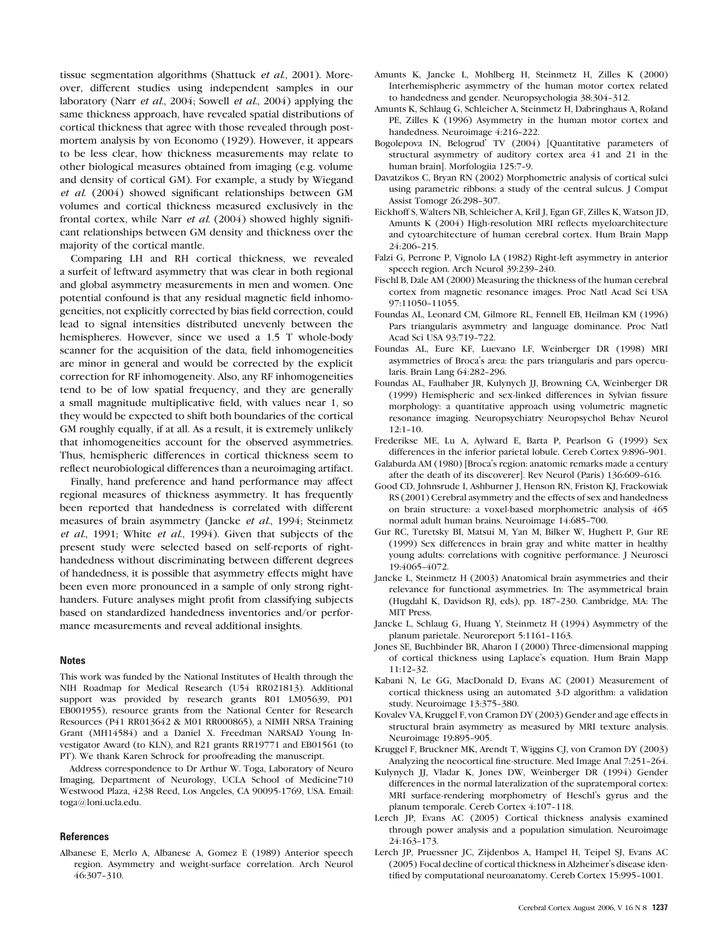tissue segmentation algorithms (Shattuck et al., 2001). Moreover, different studies using independent samples in our laboratory (Narr et al., 2004; Sowell et al., 2004) applying the same thickness approach, have revealed spatial distributions of cortical thickness that agree with those revealed through postmortem analysis by von Economo (1929). However, it appears to be less clear, how thickness measurements may relate to other biological measures obtained from imaging (e.g. volume and density of cortical GM). For example, a study by Wiegand et al. (2004) showed significant relationships between GM volumes and cortical thickness measured exclusively in the frontal cortex, while Narr et al. (2004) showed highly significant relationships between GM density and thickness over the majority of the cortical mantle.

Comparing LH and RH cortical thickness, we revealed a surfeit of leftward asymmetry that was clear in both regional and global asymmetry measurements in men and women. One potential confound is that any residual magnetic field inhomogeneities, not explicitly corrected by bias field correction, could lead to signal intensities distributed unevenly between the hemispheres. However, since we used a 1.5 T whole-body scanner for the acquisition of the data, field inhomogeneities are minor in general and would be corrected by the explicit correction for RF inhomogeneity. Also, any RF inhomogeneities tend to be of low spatial frequency, and they are generally a small magnitude multiplicative field, with values near 1, so they would be expected to shift both boundaries of the cortical GM roughly equally, if at all. As a result, it is extremely unlikely that inhomogeneities account for the observed asymmetries. Thus, hemispheric differences in cortical thickness seem to reflect neurobiological differences than a neuroimaging artifact.

Finally, hand preference and hand performance may affect regional measures of thickness asymmetry. It has frequently been reported that handedness is correlated with different measures of brain asymmetry (Jancke et al., 1994; Steinmetz et al., 1991; White et al., 1994). Given that subjects of the present study were selected based on self-reports of righthandedness without discriminating between different degrees of handedness, it is possible that asymmetry effects might have been even more pronounced in a sample of only strong righthanders. Future analyses might profit from classifying subjects based on standardized handedness inventories and/or performance measurements and reveal additional insights.

#### **Notes**

This work was funded by the National Institutes of Health through the NIH Roadmap for Medical Research (U54 RR021813). Additional support was provided by research grants R01 LM05639, P01 EB001955), resource grants from the National Center for Research Resources (P41 RR013642 & M01 RR000865), a NIMH NRSA Training Grant (MH14584) and a Daniel X. Freedman NARSAD Young Investigator Award (to KLN), and R21 grants RR19771 and EB01561 (to PT). We thank Karen Schrock for proofreading the manuscript.

Address correspondence to Dr Arthur W. Toga, Laboratory of Neuro Imaging, Department of Neurology, UCLA School of Medicine710 Westwood Plaza, 4238 Reed, Los Angeles, CA 90095-1769, USA. Email: toga@loni.ucla.edu.

## **References**

Albanese E, Merlo A, Albanese A, Gomez E (1989) Anterior speech region. Asymmetry and weight-surface correlation. Arch Neurol 46:307-310.

- Amunts K, Jancke L, Mohlberg H, Steinmetz H, Zilles K (2000) Interhemispheric asymmetry of the human motor cortex related to handedness and gender. Neuropsychologia 38:304-312.
- Amunts K, Schlaug G, Schleicher A, Steinmetz H, Dabringhaus A, Roland PE, Zilles K (1996) Asymmetry in the human motor cortex and handedness. Neuroimage 4:216-222.
- Bogolepova IN, Belogrud' TV (2004) [Quantitative parameters of structural asymmetry of auditory cortex area 41 and 21 in the human brain]. Morfologiia 125:7-9.
- Davatzikos C, Bryan RN (2002) Morphometric analysis of cortical sulci using parametric ribbons: a study of the central sulcus. J Comput Assist Tomogr 26:298-307.
- Eickhoff S, Walters NB, Schleicher A, Kril J, Egan GF, Zilles K, Watson JD, Amunts K (2004) High-resolution MRI reflects myeloarchitecture and cytoarchitecture of human cerebral cortex. Hum Brain Mapp 24:206-215.
- Falzi G, Perrone P, Vignolo LA (1982) Right-left asymmetry in anterior speech region. Arch Neurol 39:239-240.
- Fischl B, Dale AM (2000) Measuring the thickness of the human cerebral cortex from magnetic resonance images. Proc Natl Acad Sci USA 97:11050--11055.
- Foundas AL, Leonard CM, Gilmore RL, Fennell EB, Heilman KM (1996) Pars triangularis asymmetry and language dominance. Proc Natl Acad Sci USA 93:719-722.
- Foundas AL, Eure KF, Luevano LF, Weinberger DR (1998) MRI asymmetries of Broca's area: the pars triangularis and pars opercularis. Brain Lang 64:282-296.
- Foundas AL, Faulhaber JR, Kulynych JJ, Browning CA, Weinberger DR (1999) Hemispheric and sex-linked differences in Sylvian fissure morphology: a quantitative approach using volumetric magnetic resonance imaging. Neuropsychiatry Neuropsychol Behav Neurol  $12.1 - 10$
- Frederikse ME, Lu A, Aylward E, Barta P, Pearlson G (1999) Sex differences in the inferior parietal lobule. Cereb Cortex 9:896-901.
- Galaburda AM (1980) [Broca's region: anatomic remarks made a century after the death of its discoverer]. Rev Neurol (Paris) 136:609-616.
- Good CD, Johnsrude I, Ashburner J, Henson RN, Friston KJ, Frackowiak RS (2001) Cerebral asymmetry and the effects of sex and handedness on brain structure: a voxel-based morphometric analysis of 465 normal adult human brains. Neuroimage 14:685--700.
- Gur RC, Turetsky BI, Matsui M, Yan M, Bilker W, Hughett P, Gur RE (1999) Sex differences in brain gray and white matter in healthy young adults: correlations with cognitive performance. J Neurosci 19:4065-4072.
- Jancke L, Steinmetz H (2003) Anatomical brain asymmetries and their relevance for functional asymmetries. In: The asymmetrical brain (Hugdahl K, Davidson RJ, eds), pp. 187-230. Cambridge, MA: The MIT Press.
- Jancke L, Schlaug G, Huang Y, Steinmetz H (1994) Asymmetry of the planum parietale. Neuroreport 5:1161-1163.
- Jones SE, Buchbinder BR, Aharon I (2000) Three-dimensional mapping of cortical thickness using Laplace's equation. Hum Brain Mapp  $11:12-32.$
- Kabani N, Le GG, MacDonald D, Evans AC (2001) Measurement of cortical thickness using an automated 3-D algorithm: a validation study. Neuroimage 13:375-380.
- Kovalev VA, Kruggel F, von Cramon DY (2003) Gender and age effects in structural brain asymmetry as measured by MRI texture analysis. Neuroimage 19:895-905.
- Kruggel F, Bruckner MK, Arendt T, Wiggins CJ, von Cramon DY (2003) Analyzing the neocortical fine-structure. Med Image Anal 7:251-264.
- Kulynych JJ, Vladar K, Jones DW, Weinberger DR (1994) Gender differences in the normal lateralization of the supratemporal cortex: MRI surface-rendering morphometry of Heschl's gyrus and the planum temporale. Cereb Cortex 4:107-118.
- Lerch JP, Evans AC (2005) Cortical thickness analysis examined through power analysis and a population simulation. Neuroimage 24:163--173.
- Lerch JP, Pruessner JC, Zijdenbos A, Hampel H, Teipel SJ, Evans AC (2005) Focal decline of cortical thickness in Alzheimer's disease identified by computational neuroanatomy. Cereb Cortex 15:995-1001.